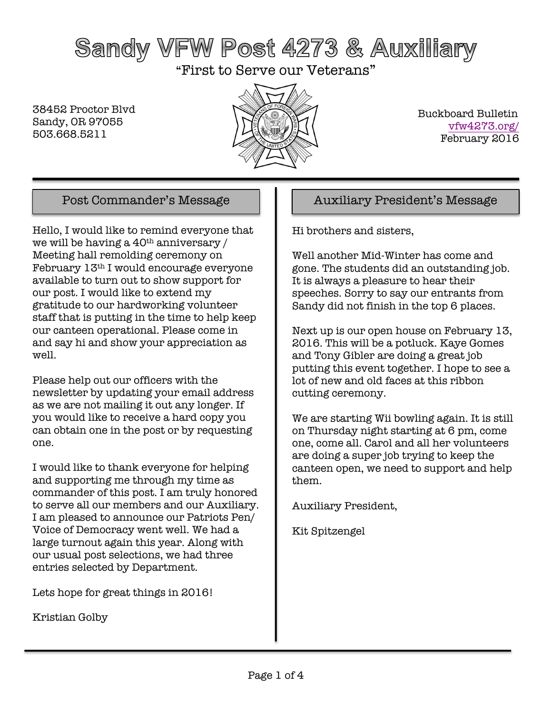# Sandy VFW Post 4273 & Auxiliary

"First to Serve our Veterans"

38452 Proctor Blvd Sandy, OR 97055 503.668.5211



 Buckboard Bulletin vfw4273.org/ February 2016

Hello, I would like to remind everyone that we will be having a  $40<sup>th</sup>$  anniversary / Meeting hall remolding ceremony on February 13th I would encourage everyone available to turn out to show support for our post. I would like to extend my gratitude to our hardworking volunteer staff that is putting in the time to help keep our canteen operational. Please come in and say hi and show your appreciation as well.

Please help out our officers with the newsletter by updating your email address as we are not mailing it out any longer. If you would like to receive a hard copy you can obtain one in the post or by requesting one.

I would like to thank everyone for helping and supporting me through my time as commander of this post. I am truly honored to serve all our members and our Auxiliary. I am pleased to announce our Patriots Pen/ Voice of Democracy went well. We had a large turnout again this year. Along with our usual post selections, we had three entries selected by Department.

Lets hope for great things in 2016!

Kristian Golby

### Post Commander's Message Auxiliary President's Message

Hi brothers and sisters,

Well another Mid-Winter has come and gone. The students did an outstanding job. It is always a pleasure to hear their speeches. Sorry to say our entrants from Sandy did not finish in the top 6 places.

Next up is our open house on February 13, 2016. This will be a potluck. Kaye Gomes and Tony Gibler are doing a great job putting this event together. I hope to see a lot of new and old faces at this ribbon cutting ceremony.

We are starting Wii bowling again. It is still on Thursday night starting at 6 pm, come one, come all. Carol and all her volunteers are doing a super job trying to keep the canteen open, we need to support and help them.

Auxiliary President,

Kit Spitzengel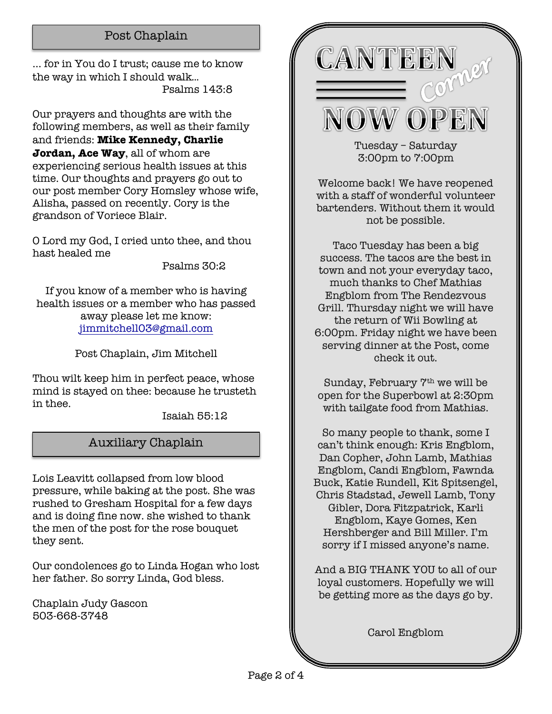### Post Chaplain

... for in You do I trust; cause me to know the way in which I should walk... Psalms 143:8

Our prayers and thoughts are with the following members, as well as their family and friends: **Mike Kennedy, Charlie Jordan, Ace Way**, all of whom are experiencing serious health issues at this time. Our thoughts and prayers go out to our post member Cory Homsley whose wife, Alisha, passed on recently. Cory is the grandson of Voriece Blair.

O Lord my God, I cried unto thee, and thou hast healed me

Psalms 30:2

If you know of a member who is having health issues or a member who has passed away please let me know: jimmitchell03@gmail.com

Post Chaplain, Jim Mitchell

Thou wilt keep him in perfect peace, whose mind is stayed on thee: because he trusteth in thee.

Isaiah 55:12

### Auxiliary Chaplain

Lois Leavitt collapsed from low blood pressure, while baking at the post. She was rushed to Gresham Hospital for a few days and is doing fine now. she wished to thank the men of the post for the rose bouquet they sent.

Our condolences go to Linda Hogan who lost her father. So sorry Linda, God bless.

Chaplain Judy Gascon 503-668-3748



Tuesday – Saturday 3:00pm to 7:00pm

Welcome back! We have reopened with a staff of wonderful volunteer bartenders. Without them it would not be possible.

Taco Tuesday has been a big success. The tacos are the best in town and not your everyday taco, much thanks to Chef Mathias Engblom from The Rendezvous Grill. Thursday night we will have the return of Wii Bowling at 6:00pm. Friday night we have been serving dinner at the Post, come check it out.

Sunday, February 7th we will be open for the Superbowl at 2:30pm with tailgate food from Mathias.

So many people to thank, some I can't think enough: Kris Engblom, Dan Copher, John Lamb, Mathias Engblom, Candi Engblom, Fawnda Buck, Katie Rundell, Kit Spitsengel, Chris Stadstad, Jewell Lamb, Tony Gibler, Dora Fitzpatrick, Karli Engblom, Kaye Gomes, Ken Hershberger and Bill Miller. I'm sorry if I missed anyone's name.

And a BIG THANK YOU to all of our loyal customers. Hopefully we will be getting more as the days go by.

Carol Engblom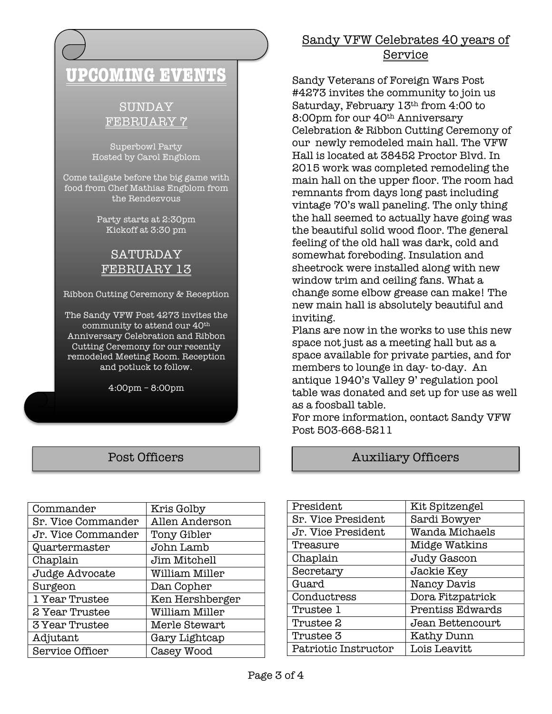## **UPCOMING EVENTS**

### SUNDAY FEBRUARY 7

Superbowl Party Hosted by Carol Engblom

Come tailgate before the big game with food from Chef Mathias Engblom from the Rendezvous

> Party starts at 2:30pm Kickoff at 3:30 pm

### SATURDAY FEBRUARY 13

Ribbon Cutting Ceremony & Reception

The Sandy VFW Post 4273 invites the community to attend our 40th Anniversary Celebration and Ribbon Cutting Ceremony for our recently remodeled Meeting Room. Reception and potluck to follow.

4:00pm – 8:00pm

| Commander             | Kris Golby      |
|-----------------------|-----------------|
| Sr. Vice Commander    | Allen Anderson  |
| Jr. Vice Commander    | Tony Gibler     |
| Quartermaster         | John Lamb       |
| Chaplain              | Jim Mitchell    |
| Judge Advocate        | William Miller  |
| Surgeon               | Dan Copher      |
| 1 Year Trustee        | Ken Hershberger |
| 2 Year Trustee        | William Miller  |
| <b>3 Year Trustee</b> | Merle Stewart   |
| Adjutant              | Gary Lightcap   |
| Service Officer       | Casey Wood      |

### Sandy VFW Celebrates 40 years of Service

Sandy Veterans of Foreign Wars Post #4273 invites the community to join us Saturday, February 13th from 4:00 to 8:00pm for our 40<sup>th</sup> Anniversary Celebration & Ribbon Cutting Ceremony of our newly remodeled main hall. The VFW Hall is located at 38452 Proctor Blvd. In 2015 work was completed remodeling the main hall on the upper floor. The room had remnants from days long past including vintage 70's wall paneling. The only thing the hall seemed to actually have going was the beautiful solid wood floor. The general feeling of the old hall was dark, cold and somewhat foreboding. Insulation and sheetrock were installed along with new window trim and ceiling fans. What a change some elbow grease can make! The new main hall is absolutely beautiful and inviting.

Plans are now in the works to use this new space not just as a meeting hall but as a space available for private parties, and for members to lounge in day- to-day. An antique 1940's Valley 9' regulation pool table was donated and set up for use as well as a foosball table.

For more information, contact Sandy VFW Post 503-668-5211

### Post Officers **Auxiliary Officers**

| President                 | Kit Spitzengel   |
|---------------------------|------------------|
| <b>Sr. Vice President</b> | Sardi Bowyer     |
| Jr. Vice President        | Wanda Michaels   |
| Treasure                  | Midge Watkins    |
| Chaplain                  | Judy Gascon      |
| Secretary                 | Jackie Key       |
| Guard                     | Nancy Davis      |
| Conductress               | Dora Fitzpatrick |
| Trustee 1                 | Prentiss Edwards |
| Trustee 2                 | Jean Bettencourt |
| Trustee 3                 | Kathy Dunn       |
| Patriotic Instructor      | Lois Leavitt     |